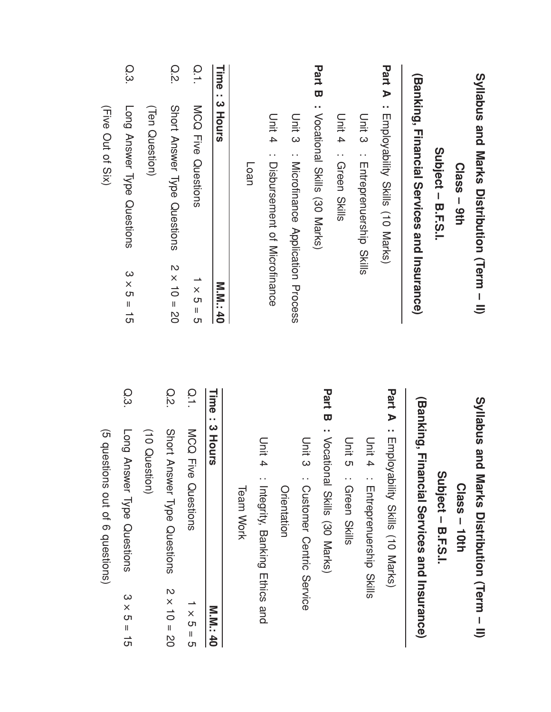|        | Syllabus and Marks Distribution (Term - II)  |                    |        | Syllabus and<br>Marks Distribution (Herm - II)  |                    |
|--------|----------------------------------------------|--------------------|--------|-------------------------------------------------|--------------------|
|        | $Class - 9th$                                |                    |        | $Class - 10th$                                  |                    |
|        | Subject - B.F.S.I.                           |                    |        | Subject - B.F.S.I.                              |                    |
|        | (Banking, Financial Services and Instrume    |                    |        | (Banking, Financial Services and Insurance)     |                    |
| Part A | : Employability Skills (10 Narks)            |                    |        | <b>Part A</b> : Employability Skills (10 Marks) |                    |
|        | Unit 3<br>: Entreprenership<br>Skills        |                    |        | Unit 4<br>: Entreprenaceship                    |                    |
|        | Unit 4 : Green Skills                        |                    |        | Unit 5<br>: Green Skills                        |                    |
|        | <b>Part B</b> : Vocational Skills (30 Marks) |                    | Part B | : Vocational Skills (30 Marks)                  |                    |
|        | Unit 3<br>: Microfinance Application Process |                    |        | Unit 3<br>: Customer Centric Service            |                    |
|        |                                              |                    |        | Orientation                                     |                    |
|        | Unit 4<br>: Dispursement of Microfinance     |                    |        | Unit 4<br>Integrity, Banking Ethics and         |                    |
|        | <b>Loan</b>                                  |                    |        | <b>Team Work</b>                                |                    |
| Time   | <b>SINOHS</b>                                | <b>M.M. 40</b>     |        | Time: 3 Hours                                   | <b>M.M.: 40</b>    |
| O.1    | <b>NCO Five Ouestions</b>                    | $S = S$            | Q.1    | MCQ Five Questions                              | $1 \times 5 = 5$   |
| Q.2.   | Short Answer Type Questions                  | $2 \times 10 = 20$ | O.2    | Short Answer Type Questions                     | $2 \times 10 = 20$ |
|        | (Ten Question)                               |                    |        | (10 Question)                                   |                    |
| Q.3    | Long Answer Type Questions                   | $3 \times 5 = 15$  | Q.3    | Long Answer Type Questions                      | $3 \times 5 = 15$  |
|        | (Five Out of Six)                            |                    |        | (5 questions out of 6 questions)                |                    |